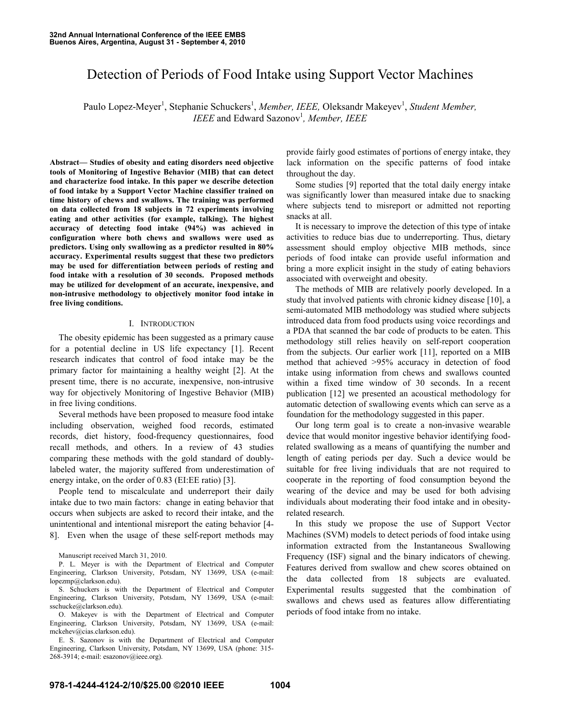# Detection of Periods of Food Intake using Support Vector Machines

Paulo Lopez-Meyer<sup>1</sup>, Stephanie Schuckers<sup>1</sup>, Member, IEEE, Oleksandr Makeyev<sup>1</sup>, Student Member, *IEEE* and Edward Sazonov<sup>1</sup>, *Member*, *IEEE* 

**Abstract— Studies of obesity and eating disorders need objective tools of Monitoring of Ingestive Behavior (MIB) that can detect and characterize food intake. In this paper we describe detection of food intake by a Support Vector Machine classifier trained on time history of chews and swallows. The training was performed on data collected from 18 subjects in 72 experiments involving eating and other activities (for example, talking). The highest accuracy of detecting food intake (94%) was achieved in configuration where both chews and swallows were used as predictors. Using only swallowing as a predictor resulted in 80% accuracy. Experimental results suggest that these two predictors may be used for differentiation between periods of resting and food intake with a resolution of 30 seconds. Proposed methods may be utilized for development of an accurate, inexpensive, and non-intrusive methodology to objectively monitor food intake in free living conditions.** 

## I. INTRODUCTION

The obesity epidemic has been suggested as a primary cause for a potential decline in US life expectancy [1]. Recent research indicates that control of food intake may be the primary factor for maintaining a healthy weight [2]. At the present time, there is no accurate, inexpensive, non-intrusive way for objectively Monitoring of Ingestive Behavior (MIB) in free living conditions.

Several methods have been proposed to measure food intake including observation, weighed food records, estimated records, diet history, food-frequency questionnaires, food recall methods, and others. In a review of 43 studies comparing these methods with the gold standard of doublylabeled water, the majority suffered from underestimation of energy intake, on the order of 0.83 (EI:EE ratio) [3].

People tend to miscalculate and underreport their daily intake due to two main factors: change in eating behavior that occurs when subjects are asked to record their intake, and the unintentional and intentional misreport the eating behavior [4- 8]. Even when the usage of these self-report methods may

Manuscript received March 31, 2010.

P. L. Meyer is with the Department of Electrical and Computer Engineering, Clarkson University, Potsdam, NY 13699, USA (e-mail: lopezmp@clarkson.edu).

S. Schuckers is with the Department of Electrical and Computer Engineering, Clarkson University, Potsdam, NY 13699, USA (e-mail: sschucke@clarkson.edu).

O. Makeyev is with the Department of Electrical and Computer Engineering, Clarkson University, Potsdam, NY 13699, USA (e-mail: mckehev@cias.clarkson.edu).

E. S. Sazonov is with the Department of Electrical and Computer Engineering, Clarkson University, Potsdam, NY 13699, USA (phone: 315- 268-3914; e-mail: esazonov@ieee.org).

provide fairly good estimates of portions of energy intake, they lack information on the specific patterns of food intake throughout the day.

Some studies [9] reported that the total daily energy intake was significantly lower than measured intake due to snacking where subjects tend to misreport or admitted not reporting snacks at all.

It is necessary to improve the detection of this type of intake activities to reduce bias due to underreporting. Thus, dietary assessment should employ objective MIB methods, since periods of food intake can provide useful information and bring a more explicit insight in the study of eating behaviors associated with overweight and obesity.

The methods of MIB are relatively poorly developed. In a study that involved patients with chronic kidney disease [10], a semi-automated MIB methodology was studied where subjects introduced data from food products using voice recordings and a PDA that scanned the bar code of products to be eaten. This methodology still relies heavily on self-report cooperation from the subjects. Our earlier work [11], reported on a MIB method that achieved >95% accuracy in detection of food intake using information from chews and swallows counted within a fixed time window of 30 seconds. In a recent publication [12] we presented an acoustical methodology for automatic detection of swallowing events which can serve as a foundation for the methodology suggested in this paper.

Our long term goal is to create a non-invasive wearable device that would monitor ingestive behavior identifying foodrelated swallowing as a means of quantifying the number and length of eating periods per day. Such a device would be suitable for free living individuals that are not required to cooperate in the reporting of food consumption beyond the wearing of the device and may be used for both advising individuals about moderating their food intake and in obesityrelated research.

In this study we propose the use of Support Vector Machines (SVM) models to detect periods of food intake using information extracted from the Instantaneous Swallowing Frequency (ISF) signal and the binary indicators of chewing. Features derived from swallow and chew scores obtained on the data collected from 18 subjects are evaluated. Experimental results suggested that the combination of swallows and chews used as features allow differentiating periods of food intake from no intake.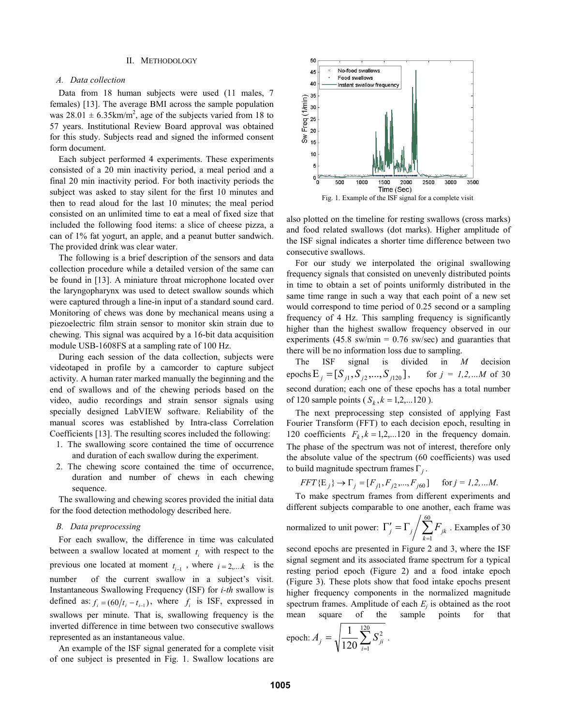# II. METHODOLOGY

# *A. Data collection*

Data from 18 human subjects were used (11 males, 7 females) [13]. The average BMI across the sample population was  $28.01 \pm 6.35 \text{km/m}^2$ , age of the subjects varied from 18 to 57 years. Institutional Review Board approval was obtained for this study. Subjects read and signed the informed consent form document.

Each subject performed 4 experiments. These experiments consisted of a 20 min inactivity period, a meal period and a final 20 min inactivity period. For both inactivity periods the subject was asked to stay silent for the first 10 minutes and then to read aloud for the last 10 minutes; the meal period consisted on an unlimited time to eat a meal of fixed size that included the following food items: a slice of cheese pizza, a can of 1% fat yogurt, an apple, and a peanut butter sandwich. The provided drink was clear water.

The following is a brief description of the sensors and data collection procedure while a detailed version of the same can be found in [13]. A miniature throat microphone located over the laryngopharynx was used to detect swallow sounds which were captured through a line-in input of a standard sound card. Monitoring of chews was done by mechanical means using a piezoelectric film strain sensor to monitor skin strain due to chewing. This signal was acquired by a 16-bit data acquisition module USB-1608FS at a sampling rate of 100 Hz.

During each session of the data collection, subjects were videotaped in profile by a camcorder to capture subject activity. A human rater marked manually the beginning and the end of swallows and of the chewing periods based on the video, audio recordings and strain sensor signals using specially designed LabVIEW software. Reliability of the manual scores was established by Intra-class Correlation Coefficients [13]. The resulting scores included the following:

- 1. The swallowing score contained the time of occurrence and duration of each swallow during the experiment.
- 2. The chewing score contained the time of occurrence, duration and number of chews in each chewing sequence.

The swallowing and chewing scores provided the initial data for the food detection methodology described here.

#### *B. Data preprocessing*

For each swallow, the difference in time was calculated between a swallow located at moment  $t_i$  with respect to the previous one located at moment  $t_{i-1}$ , where  $i = 2,...k$  is the number of the current swallow in a subject's visit. Instantaneous Swallowing Frequency (ISF) for *i-th* swallow is defined as:  $f_i = (60 / t_i - t_{i-1})$ , where  $f_i$  is ISF, expressed in swallows per minute. That is, swallowing frequency is the inverted difference in time between two consecutive swallows represented as an instantaneous value.

An example of the ISF signal generated for a complete visit of one subject is presented in Fig. 1. Swallow locations are



also plotted on the timeline for resting swallows (cross marks) and food related swallows (dot marks). Higher amplitude of the ISF signal indicates a shorter time difference between two consecutive swallows.

For our study we interpolated the original swallowing frequency signals that consisted on unevenly distributed points in time to obtain a set of points uniformly distributed in the same time range in such a way that each point of a new set would correspond to time period of 0.25 second or a sampling frequency of 4 Hz. This sampling frequency is significantly higher than the highest swallow frequency observed in our experiments (45.8 sw/min =  $0.76$  sw/sec) and guaranties that there will be no information loss due to sampling.

The ISF signal is divided in *M* decision epochs  $E_j = [S_{j1}, S_{j2},..., S_{j120}]$ , for  $j = 1,2,...M$  of 30 second duration; each one of these epochs has a total number of 120 sample points  $(S_k, k = 1, 2, \dots 120)$ .

The next preprocessing step consisted of applying Fast Fourier Transform (FFT) to each decision epoch, resulting in 120 coefficients  $F_k$ ,  $k = 1, 2, \dots 120$  in the frequency domain. The phase of the spectrum was not of interest, therefore only the absolute value of the spectrum (60 coefficients) was used to build magnitude spectrum frames Γ*<sup>j</sup>* .

$$
FFT\{\mathbb{E}_j\} \to \Gamma_j = [F_{j1}, F_{j2}, ..., F_{j60}] \quad \text{for } j = 1, 2, ... M.
$$

To make spectrum frames from different experiments and different subjects comparable to one another, each frame was

normalized to unit power: 
$$
\Gamma'_j = \Gamma_j / \sum_{k=1}^{60} F_{jk}
$$
. Examples of 30

second epochs are presented in Figure 2 and 3, where the ISF signal segment and its associated frame spectrum for a typical resting period epoch (Figure 2) and a food intake epoch (Figure 3). These plots show that food intake epochs present higher frequency components in the normalized magnitude spectrum frames. Amplitude of each *E<sup>j</sup>* is obtained as the root mean square of the sample points for that

epoch: 
$$
A_j = \sqrt{\frac{1}{120} \sum_{i=1}^{120} S_{ji}^2}
$$
.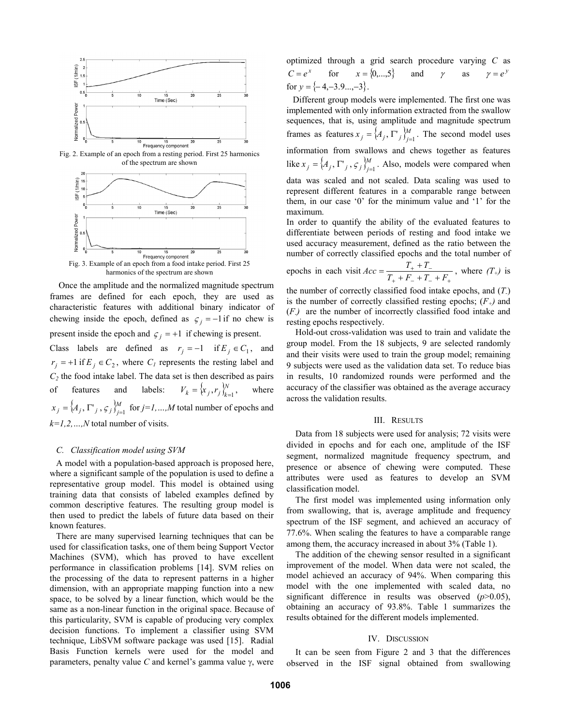

Fig. 2. Example of an epoch from a resting period. First 25 harmonics of the spectrum are shown



Once the amplitude and the normalized magnitude spectrum frames are defined for each epoch, they are used as characteristic features with additional binary indicator of chewing inside the epoch, defined as  $\zeta_j = -1$  *if* no chew is present inside the epoch and  $\varsigma_j = +1$  if chewing is present.

Class labels are defined as  $r_j = -1$  if  $E_j \in C_1$ , and  $r_j = +1$  if  $E_j \in C_2$ , where  $C_l$  represents the resting label and  $C_2$  the food intake label. The data set is then described as pairs of features and labels:  $V_k = \{x_i, r_i\}_{i=1}^N$  $V_k = \{x_j, r_j\}_{k=1}^N$ , where  ${A_i, \Gamma^i, \varsigma_i}^M$  $f(x_j) = \{A_j, \Gamma'_{j}, \varsigma_j\}_{j=1}^M$  for  $j=1,...,M$  total number of epochs and *k=1,2,…,N* total number of visits.

# *C. Classification model using SVM*

A model with a population-based approach is proposed here, where a significant sample of the population is used to define a representative group model. This model is obtained using training data that consists of labeled examples defined by common descriptive features. The resulting group model is then used to predict the labels of future data based on their known features.

There are many supervised learning techniques that can be used for classification tasks, one of them being Support Vector Machines (SVM), which has proved to have excellent performance in classification problems [14]. SVM relies on the processing of the data to represent patterns in a higher dimension, with an appropriate mapping function into a new space, to be solved by a linear function, which would be the same as a non-linear function in the original space. Because of this particularity, SVM is capable of producing very complex decision functions. To implement a classifier using SVM technique, LibSVM software package was used [15]. Radial Basis Function kernels were used for the model and parameters, penalty value *C* and kernel's gamma value γ, were optimized through a grid search procedure varying *C* as  $C = e^x$  for  $x = \{0, \ldots, 5\}$  and *γ* as  $\gamma = e^y$ for  $y = \{-4, -3.9,...,-3\}$ .

Different group models were implemented. The first one was implemented with only information extracted from the swallow sequences, that is, using amplitude and magnitude spectrum frames as features  $x_i = \{A_i, \Gamma^i\}$  $x_j = \langle A_j, \Gamma'_{j} \rangle_{j=1}^{M}$ . The second model uses information from swallows and chews together as features like  $x_i = \{A_i, \Gamma^i, \varsigma_i\}_{i=1}^M$  $x_j = \langle A_j, \Gamma_j, \varsigma_j \rangle_{j=1}^M$ . Also, models were compared when data was scaled and not scaled. Data scaling was used to represent different features in a comparable range between them, in our case '0' for the minimum value and '1' for the maximum.

In order to quantify the ability of the evaluated features to differentiate between periods of resting and food intake we used accuracy measurement, defined as the ratio between the number of correctly classified epochs and the total number of

epochs in each visit 
$$
Acc = \frac{T_+ + T_-}{T_+ + F_- + T_- + F_+}
$$
, where  $(T_+)$  is

the number of correctly classified food intake epochs, and (*T-*) is the number of correctly classified resting epochs;  $(F<sub>+</sub>)$  and (*F-)* are the number of incorrectly classified food intake and resting epochs respectively.

Hold-out cross-validation was used to train and validate the group model. From the 18 subjects, 9 are selected randomly and their visits were used to train the group model; remaining 9 subjects were used as the validation data set. To reduce bias in results, 10 randomized rounds were performed and the accuracy of the classifier was obtained as the average accuracy across the validation results.

#### III. RESULTS

Data from 18 subjects were used for analysis; 72 visits were divided in epochs and for each one, amplitude of the ISF segment, normalized magnitude frequency spectrum, and presence or absence of chewing were computed. These attributes were used as features to develop an SVM classification model.

The first model was implemented using information only from swallowing, that is, average amplitude and frequency spectrum of the ISF segment, and achieved an accuracy of 77.6%. When scaling the features to have a comparable range among them, the accuracy increased in about 3% (Table 1).

The addition of the chewing sensor resulted in a significant improvement of the model. When data were not scaled, the model achieved an accuracy of 94%. When comparing this model with the one implemented with scaled data, no significant difference in results was observed (*p*>0.05), obtaining an accuracy of 93.8%. Table 1 summarizes the results obtained for the different models implemented.

#### IV. DISCUSSION

It can be seen from Figure 2 and 3 that the differences observed in the ISF signal obtained from swallowing